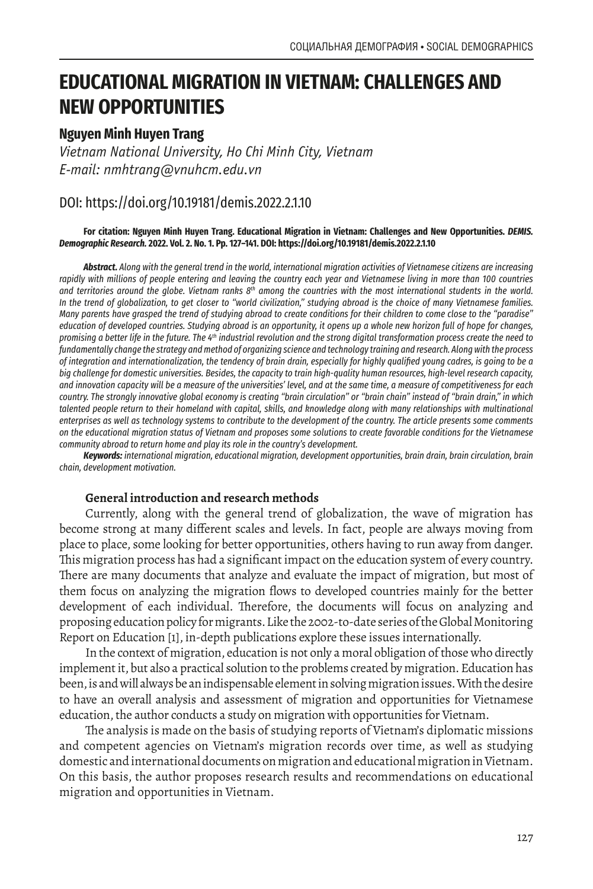# **EDUCATIONAL MIGRATION IN VIETNAM: CHALLENGES AND NEW OPPORTUNITIES**

# **Nguyen Minh Huyen Trang**

*Vietnam National University, Ho Chi Minh City, Vietnam E-mail: nmhtrang@vnuhcm.edu.vn*

# DOI: https://doi.org/10.19181/demis.2022.2.1.10

### **For citation: Nguyen Minh Huyen Trang. Educational Migration in Vietnam: Challenges and New Opportunities.** *DEMIS. Demographic Research.* **2022. Vol. 2. No. 1. Pp. 127–141. DOI: https://doi.org/10.19181/demis.2022.2.1.10**

*Abstract. Along with the general trend in the world, international migration activities of Vietnamese citizens are increasing*  rapidly with millions of people entering and leaving the country each year and Vietnamese living in more than 100 countries *and territories around the globe. Vietnam ranks 8th among the countries with the most international students in the world. In the trend of globalization, to get closer to "world civilization," studying abroad is the choice of many Vietnamese families. Many parents have grasped the trend of studying abroad to create conditions for their children to come close to the "paradise" education of developed countries. Studying abroad is an opportunity, it opens up a whole new horizon full of hope for changes, promising a better life in the future. The 4th industrial revolution and the strong digital transformation process create the need to fundamentally change the strategy and method of organizing science and technology training and research. Along with the process of integration and internationalization, the tendency of brain drain, especially for highly qualified young cadres, is going to be a big challenge for domestic universities. Besides, the capacity to train high-quality human resources, high-level research capacity, and innovation capacity will be a measure of the universities' level, and at the same time, a measure of competitiveness for each country. The strongly innovative global economy is creating "brain circulation" or "brain chain" instead of "brain drain," in which*  talented people return to their homeland with capital, skills, and knowledge along with many relationships with multinational *enterprises as well as technology systems to contribute to the development of the country. The article presents some comments on the educational migration status of Vietnam and proposes some solutions to create favorable conditions for the Vietnamese community abroad to return home and play its role in the country's development.*

*Keywords: international migration, educational migration, development opportunities, brain drain, brain circulation, brain chain, development motivation.*

# **General introduction and research methods**

Currently, along with the general trend of globalization, the wave of migration has become strong at many different scales and levels. In fact, people are always moving from place to place, some looking for better opportunities, others having to run away from danger. This migration process has had a significant impact on the education system of every country. There are many documents that analyze and evaluate the impact of migration, but most of them focus on analyzing the migration flows to developed countries mainly for the better development of each individual. Therefore, the documents will focus on analyzing and proposing education policy for migrants. Like the 2002-to-date series of the Global Monitoring Report on Education [1], in-depth publications explore these issues internationally.

In the context of migration, education is not only a moral obligation of those who directly implement it, but also a practical solution to the problems created by migration. Education has been, is and will always be an indispensable element in solving migration issues. With the desire to have an overall analysis and assessment of migration and opportunities for Vietnamese education, the author conducts a study on migration with opportunities for Vietnam.

The analysis is made on the basis of studying reports of Vietnam's diplomatic missions and competent agencies on Vietnam's migration records over time, as well as studying domestic and international documents on migration and educational migration in Vietnam. On this basis, the author proposes research results and recommendations on educational migration and opportunities in Vietnam.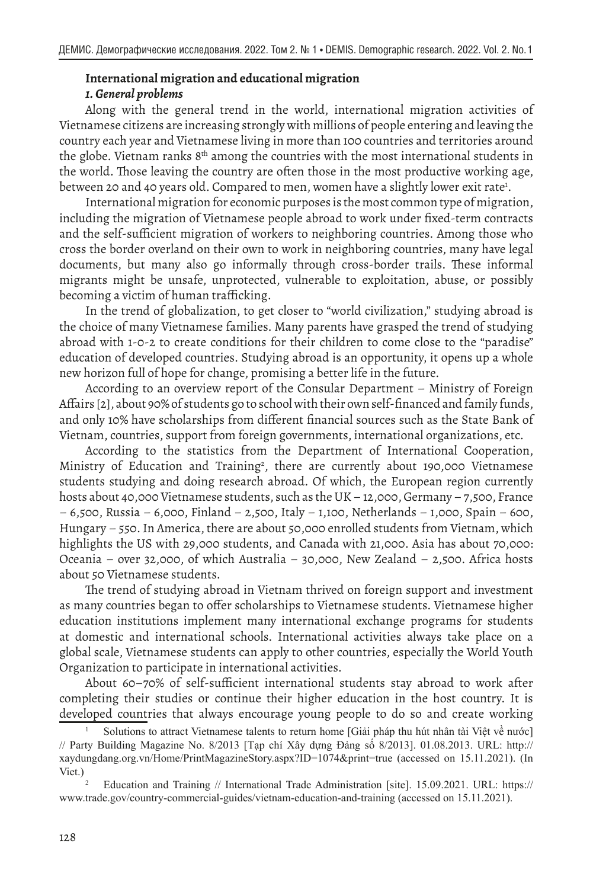# **International migration and educational migration** *1. General problems*

Along with the general trend in the world, international migration activities of Vietnamese citizens are increasing strongly with millions of people entering and leaving the country each year and Vietnamese living in more than 100 countries and territories around the globe. Vietnam ranks  $8<sup>th</sup>$  among the countries with the most international students in the world. Those leaving the country are often those in the most productive working age, between 20 and 40 years old. Compared to men, women have a slightly lower exit rate<sup>1</sup>.

International migration for economic purposes is the most common type of migration, including the migration of Vietnamese people abroad to work under fixed-term contracts and the self-sufficient migration of workers to neighboring countries. Among those who cross the border overland on their own to work in neighboring countries, many have legal documents, but many also go informally through cross-border trails. These informal migrants might be unsafe, unprotected, vulnerable to exploitation, abuse, or possibly becoming a victim of human trafficking.

In the trend of globalization, to get closer to "world civilization," studying abroad is the choice of many Vietnamese families. Many parents have grasped the trend of studying abroad with 1-0-2 to create conditions for their children to come close to the "paradise" education of developed countries. Studying abroad is an opportunity, it opens up a whole new horizon full of hope for change, promising a better life in the future.

According to an overview report of the Consular Department – Ministry of Foreign Affairs [2], about 90% of students go to school with their own self-financed and family funds, and only 10% have scholarships from different financial sources such as the State Bank of Vietnam, countries, support from foreign governments, international organizations, etc.

According to the statistics from the Department of International Cooperation, Ministry of Education and Training<sup>2</sup>, there are currently about 190,000 Vietnamese students studying and doing research abroad. Of which, the European region currently hosts about 40,000 Vietnamese students, such as the UK – 12,000, Germany – 7,500, France – 6,500, Russia – 6,000, Finland – 2,500, Italy – 1,100, Netherlands – 1,000, Spain – 600, Hungary – 550. In America, there are about 50,000 enrolled students from Vietnam, which highlights the US with 29,000 students, and Canada with 21,000. Asia has about 70,000: Oceania – over 32,000, of which Australia – 30,000, New Zealand – 2,500. Africa hosts about 50 Vietnamese students.

The trend of studying abroad in Vietnam thrived on foreign support and investment as many countries began to offer scholarships to Vietnamese students. Vietnamese higher education institutions implement many international exchange programs for students at domestic and international schools. International activities always take place on a global scale, Vietnamese students can apply to other countries, especially the World Youth Organization to participate in international activities.

About 60–70% of self-sufficient international students stay abroad to work after completing their studies or continue their higher education in the host country. It is developed countries that always encourage young people to do so and create working

<sup>1</sup> Solutions to attract Vietnamese talents to return home [Giải pháp thu hút nhân tài Việt về nước] // Party Building Magazine No. 8/2013 [Tạp chí Xây dựng Đảng số 8/2013]. 01.08.2013. URL: http:// xaydungdang.org.vn/Home/PrintMagazineStory.aspx?ID=1074&print=true (accessed on 15.11.2021). (In Viet.)

<sup>2</sup> Education and Training // International Trade Administration [site]. 15.09.2021. URL: https:// www.trade.gov/country-commercial-guides/vietnam-education-and-training (accessed on 15.11.2021).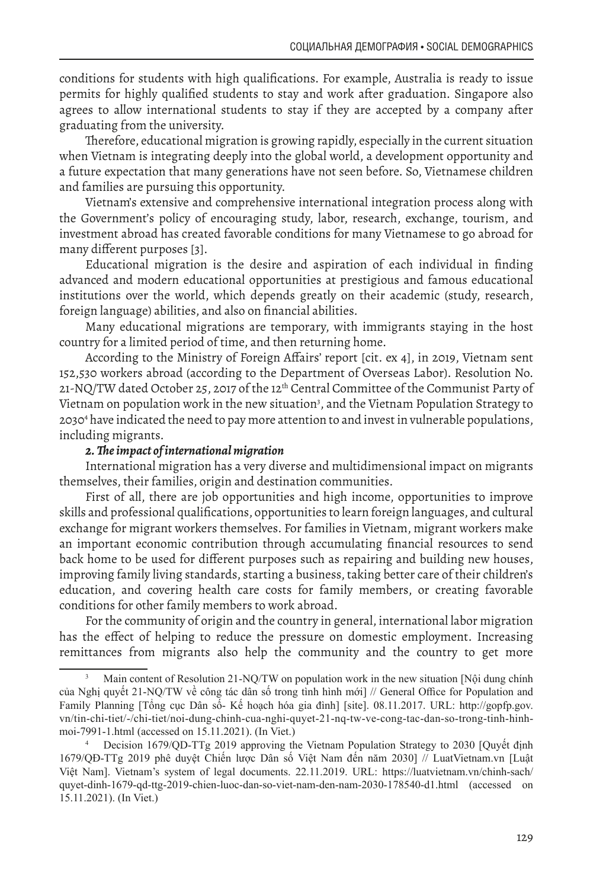conditions for students with high qualifications. For example, Australia is ready to issue permits for highly qualified students to stay and work after graduation. Singapore also agrees to allow international students to stay if they are accepted by a company after graduating from the university.

Therefore, educational migration is growing rapidly, especially in the current situation when Vietnam is integrating deeply into the global world, a development opportunity and a future expectation that many generations have not seen before. So, Vietnamese children and families are pursuing this opportunity.

Vietnam's extensive and comprehensive international integration process along with the Government's policy of encouraging study, labor, research, exchange, tourism, and investment abroad has created favorable conditions for many Vietnamese to go abroad for many different purposes [3].

Educational migration is the desire and aspiration of each individual in finding advanced and modern educational opportunities at prestigious and famous educational institutions over the world, which depends greatly on their academic (study, research, foreign language) abilities, and also on financial abilities.

Many educational migrations are temporary, with immigrants staying in the host country for a limited period of time, and then returning home.

According to the Ministry of Foreign Affairs' report [cit. ex 4], in 2019, Vietnam sent 152,530 workers abroad (according to the Department of Overseas Labor). Resolution No. 21-NQ/TW dated October 25, 2017 of the 12<sup>th</sup> Central Committee of the Communist Party of Vietnam on population work in the new situation<sup>3</sup>, and the Vietnam Population Strategy to 20304 have indicated the need to pay more attention to and invest in vulnerable populations, including migrants.

## *2. The impact of international migration*

International migration has a very diverse and multidimensional impact on migrants themselves, their families, origin and destination communities.

First of all, there are job opportunities and high income, opportunities to improve skills and professional qualifications, opportunities to learn foreign languages, and cultural exchange for migrant workers themselves. For families in Vietnam, migrant workers make an important economic contribution through accumulating financial resources to send back home to be used for different purposes such as repairing and building new houses, improving family living standards, starting a business, taking better care of their children's education, and covering health care costs for family members, or creating favorable conditions for other family members to work abroad.

For the community of origin and the country in general, international labor migration has the effect of helping to reduce the pressure on domestic employment. Increasing remittances from migrants also help the community and the country to get more

Main content of Resolution 21-NQ/TW on population work in the new situation [Nội dung chính của Nghị quyết 21-NQ/TW về công tác dân số trong tình hình mới] // General Office for Population and Family Planning [Tổng cục Dân số- Kế hoạch hóa gia đình] [site]. 08.11.2017. URL: http://gopfp.gov. vn/tin-chi-tiet/-/chi-tiet/noi-dung-chinh-cua-nghi-quyet-21-nq-tw-ve-cong-tac-dan-so-trong-tinh-hinhmoi-7991-1.html (accessed on 15.11.2021). (In Viet.)

Decision 1679/QD-TTg 2019 approving the Vietnam Population Strategy to 2030 [Quyết định 1679/QĐ-TTg 2019 phê duyệt Chiến lược Dân số Việt Nam đến năm 2030] // LuatVietnam.vn [Luật Việt Nam]. Vietnam's system of legal documents. 22.11.2019. URL: https://luatvietnam.vn/chinh-sach/ quyet-dinh-1679-qd-ttg-2019-chien-luoc-dan-so-viet-nam-den-nam-2030-178540-d1.html (accessed on 15.11.2021). (In Viet.)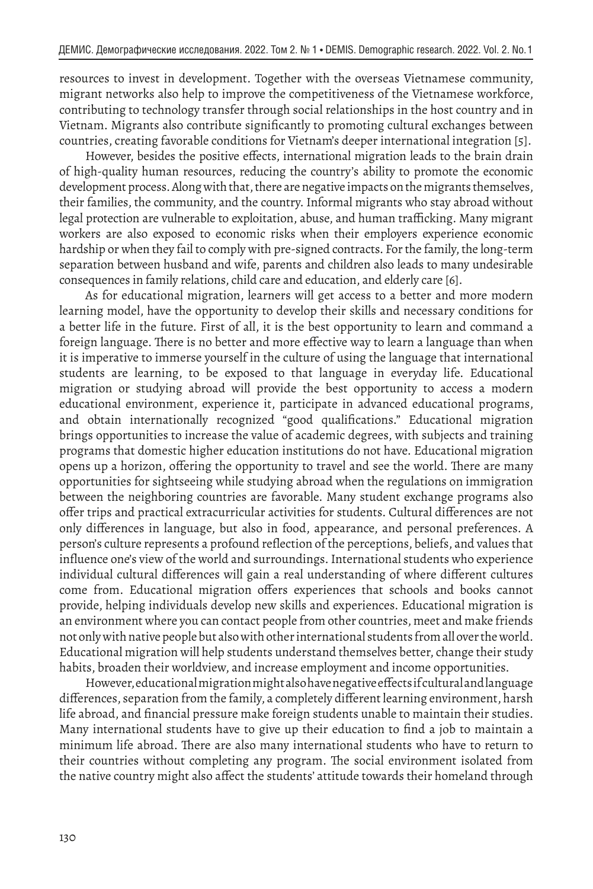resources to invest in development. Together with the overseas Vietnamese community, migrant networks also help to improve the competitiveness of the Vietnamese workforce, contributing to technology transfer through social relationships in the host country and in Vietnam. Migrants also contribute significantly to promoting cultural exchanges between countries, creating favorable conditions for Vietnam's deeper international integration [5].

However, besides the positive effects, international migration leads to the brain drain of high-quality human resources, reducing the country's ability to promote the economic development process. Along with that, there are negative impacts on the migrants themselves, their families, the community, and the country. Informal migrants who stay abroad without legal protection are vulnerable to exploitation, abuse, and human trafficking. Many migrant workers are also exposed to economic risks when their employers experience economic hardship or when they fail to comply with pre-signed contracts. For the family, the long-term separation between husband and wife, parents and children also leads to many undesirable consequences in family relations, child care and education, and elderly care [6].

As for educational migration, learners will get access to a better and more modern learning model, have the opportunity to develop their skills and necessary conditions for a better life in the future. First of all, it is the best opportunity to learn and command a foreign language. There is no better and more effective way to learn a language than when it is imperative to immerse yourself in the culture of using the language that international students are learning, to be exposed to that language in everyday life. Educational migration or studying abroad will provide the best opportunity to access a modern educational environment, experience it, participate in advanced educational programs, and obtain internationally recognized "good qualifications." Educational migration brings opportunities to increase the value of academic degrees, with subjects and training programs that domestic higher education institutions do not have. Educational migration opens up a horizon, offering the opportunity to travel and see the world. There are many opportunities for sightseeing while studying abroad when the regulations on immigration between the neighboring countries are favorable. Many student exchange programs also offer trips and practical extracurricular activities for students. Cultural differences are not only differences in language, but also in food, appearance, and personal preferences. A person's culture represents a profound reflection of the perceptions, beliefs, and values that influence one's view of the world and surroundings. International students who experience individual cultural differences will gain a real understanding of where different cultures come from. Educational migration offers experiences that schools and books cannot provide, helping individuals develop new skills and experiences. Educational migration is an environment where you can contact people from other countries, meet and make friends not only with native people but also with other international students from all over the world. Educational migration will help students understand themselves better, change their study habits, broaden their worldview, and increase employment and income opportunities.

However, educational migration might also have negative effects if cultural and language differences, separation from the family, a completely different learning environment, harsh life abroad, and financial pressure make foreign students unable to maintain their studies. Many international students have to give up their education to find a job to maintain a minimum life abroad. There are also many international students who have to return to their countries without completing any program. The social environment isolated from the native country might also affect the students' attitude towards their homeland through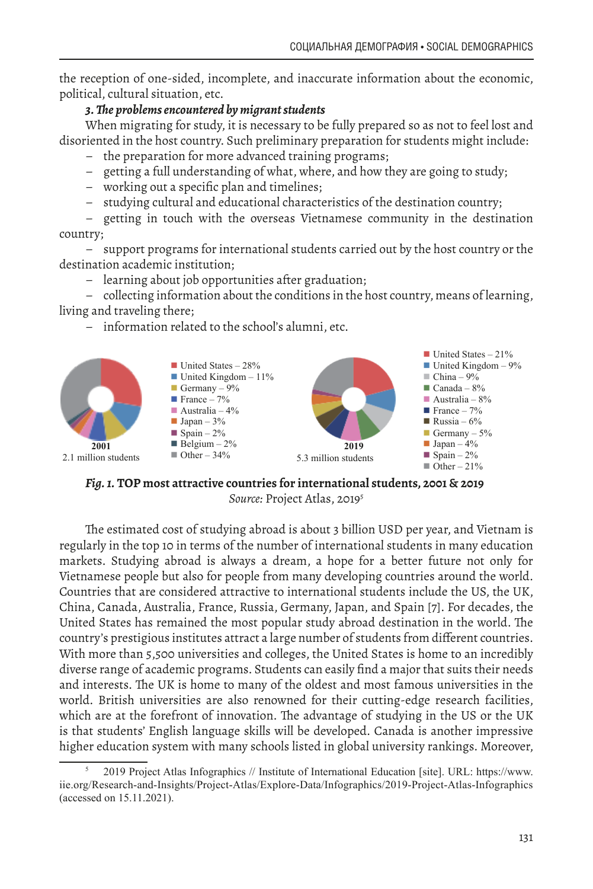the reception of one-sided, incomplete, and inaccurate information about the economic, political, cultural situation, etc.

# *3. The problems encountered by migrant students*

When migrating for study, it is necessary to be fully prepared so as not to feel lost and disoriented in the host country. Such preliminary preparation for students might include:

- the preparation for more advanced training programs;
- getting a full understanding of what, where, and how they are going to study;
- working out a specific plan and timelines;
- studying cultural and educational characteristics of the destination country;

– getting in touch with the overseas Vietnamese community in the destination country;

– support programs for international students carried out by the host country or the destination academic institution;

– learning about job opportunities after graduation;

– collecting information about the conditions in the host country, means of learning, living and traveling there;

– information related to the school's alumni, etc.



*Fig. 1.* **TOP most attractive countries for international students, 2001 & 2019** Source: Project Atlas, 2019<sup>5</sup>

The estimated cost of studying abroad is about 3 billion USD per year, and Vietnam is regularly in the top 10 in terms of the number of international students in many education markets. Studying abroad is always a dream, a hope for a better future not only for Vietnamese people but also for people from many developing countries around the world. Countries that are considered attractive to international students include the US, the UK, China, Canada, Australia, France, Russia, Germany, Japan, and Spain [7]. For decades, the United States has remained the most popular study abroad destination in the world. The country's prestigious institutes attract a large number of students from different countries. With more than 5,500 universities and colleges, the United States is home to an incredibly diverse range of academic programs. Students can easily find a major that suits their needs and interests. The UK is home to many of the oldest and most famous universities in the world. British universities are also renowned for their cutting-edge research facilities, which are at the forefront of innovation. The advantage of studying in the US or the UK is that students' English language skills will be developed. Canada is another impressive higher education system with many schools listed in global university rankings. Moreover,

<sup>5</sup> 2019 Project Atlas Infographics // Institute of International Education [site]. URL: https://www. iie.org/Research-and-Insights/Project-Atlas/Explore-Data/Infographics/2019-Project-Atlas-Infographics (accessed on 15.11.2021).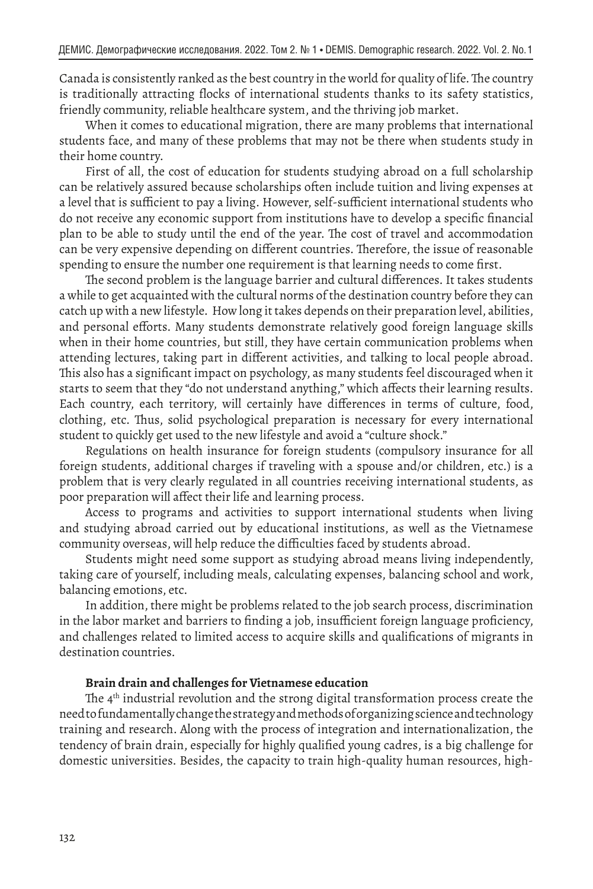Canada is consistently ranked as the best country in the world for quality of life. The country is traditionally attracting flocks of international students thanks to its safety statistics, friendly community, reliable healthcare system, and the thriving job market.

When it comes to educational migration, there are many problems that international students face, and many of these problems that may not be there when students study in their home country.

First of all, the cost of education for students studying abroad on a full scholarship can be relatively assured because scholarships often include tuition and living expenses at a level that is sufficient to pay a living. However, self-sufficient international students who do not receive any economic support from institutions have to develop a specific financial plan to be able to study until the end of the year. The cost of travel and accommodation can be very expensive depending on different countries. Therefore, the issue of reasonable spending to ensure the number one requirement is that learning needs to come first.

The second problem is the language barrier and cultural differences. It takes students a while to get acquainted with the cultural norms of the destination country before they can catch up with a new lifestyle. How long it takes depends on their preparation level, abilities, and personal efforts. Many students demonstrate relatively good foreign language skills when in their home countries, but still, they have certain communication problems when attending lectures, taking part in different activities, and talking to local people abroad. This also has a significant impact on psychology, as many students feel discouraged when it starts to seem that they "do not understand anything," which affects their learning results. Each country, each territory, will certainly have differences in terms of culture, food, clothing, etc. Thus, solid psychological preparation is necessary for every international student to quickly get used to the new lifestyle and avoid a "culture shock."

Regulations on health insurance for foreign students (compulsory insurance for all foreign students, additional charges if traveling with a spouse and/or children, etc.) is a problem that is very clearly regulated in all countries receiving international students, as poor preparation will affect their life and learning process.

Access to programs and activities to support international students when living and studying abroad carried out by educational institutions, as well as the Vietnamese community overseas, will help reduce the difficulties faced by students abroad.

Students might need some support as studying abroad means living independently, taking care of yourself, including meals, calculating expenses, balancing school and work, balancing emotions, etc.

In addition, there might be problems related to the job search process, discrimination in the labor market and barriers to finding a job, insufficient foreign language proficiency, and challenges related to limited access to acquire skills and qualifications of migrants in destination countries.

# **Brain drain and challenges for Vietnamese education**

The 4<sup>th</sup> industrial revolution and the strong digital transformation process create the need to fundamentally change the strategy and methods of organizing science and technology training and research. Along with the process of integration and internationalization, the tendency of brain drain, especially for highly qualified young cadres, is a big challenge for domestic universities. Besides, the capacity to train high-quality human resources, high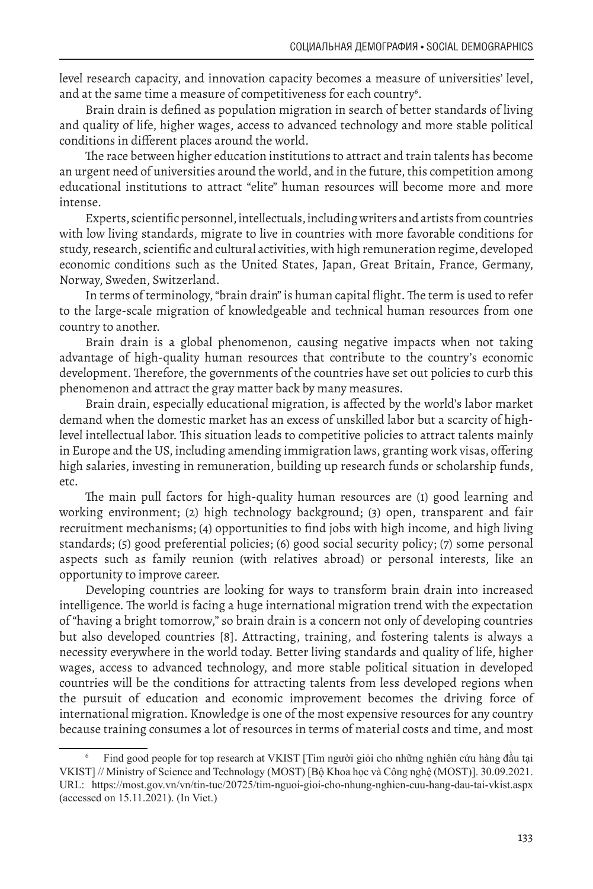level research capacity, and innovation capacity becomes a measure of universities' level, and at the same time a measure of competitiveness for each country $\mathfrak{c}.$ 

Brain drain is defined as population migration in search of better standards of living and quality of life, higher wages, access to advanced technology and more stable political conditions in different places around the world.

The race between higher education institutions to attract and train talents has become an urgent need of universities around the world, and in the future, this competition among educational institutions to attract "elite" human resources will become more and more intense.

Experts, scientific personnel, intellectuals, including writers and artists from countries with low living standards, migrate to live in countries with more favorable conditions for study, research, scientific and cultural activities, with high remuneration regime, developed economic conditions such as the United States, Japan, Great Britain, France, Germany, Norway, Sweden, Switzerland.

In terms of terminology, "brain drain" is human capital flight. The term is used to refer to the large-scale migration of knowledgeable and technical human resources from one country to another.

Brain drain is a global phenomenon, causing negative impacts when not taking advantage of high-quality human resources that contribute to the country's economic development. Therefore, the governments of the countries have set out policies to curb this phenomenon and attract the gray matter back by many measures.

Brain drain, especially educational migration, is affected by the world's labor market demand when the domestic market has an excess of unskilled labor but a scarcity of highlevel intellectual labor. This situation leads to competitive policies to attract talents mainly in Europe and the US, including amending immigration laws, granting work visas, offering high salaries, investing in remuneration, building up research funds or scholarship funds, etc.

The main pull factors for high-quality human resources are (1) good learning and working environment; (2) high technology background; (3) open, transparent and fair recruitment mechanisms; (4) opportunities to find jobs with high income, and high living standards; (5) good preferential policies; (6) good social security policy; (7) some personal aspects such as family reunion (with relatives abroad) or personal interests, like an opportunity to improve career.

Developing countries are looking for ways to transform brain drain into increased intelligence. The world is facing a huge international migration trend with the expectation of "having a bright tomorrow," so brain drain is a concern not only of developing countries but also developed countries [8]. Attracting, training, and fostering talents is always a necessity everywhere in the world today. Better living standards and quality of life, higher wages, access to advanced technology, and more stable political situation in developed countries will be the conditions for attracting talents from less developed regions when the pursuit of education and economic improvement becomes the driving force of international migration. Knowledge is one of the most expensive resources for any country because training consumes a lot of resources in terms of material costs and time, and most

<sup>6</sup> Find good people for top research at VKIST [Tìm người giỏi cho những nghiên cứu hàng đầu tại VKIST] // Ministry of Science and Technology (MOST) [Bộ Khoa học và Công nghệ (MOST)]. 30.09.2021. URL: https://most.gov.vn/vn/tin-tuc/20725/tim-nguoi-gioi-cho-nhung-nghien-cuu-hang-dau-tai-vkist.aspx (accessed on 15.11.2021). (In Viet.)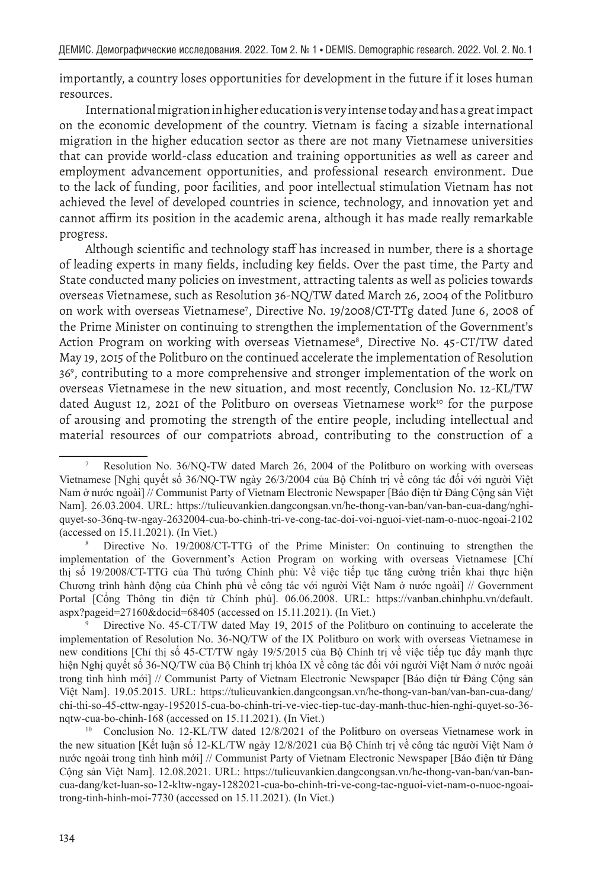importantly, a country loses opportunities for development in the future if it loses human resources.

International migration in higher education is very intense today and has a great impact on the economic development of the country. Vietnam is facing a sizable international migration in the higher education sector as there are not many Vietnamese universities that can provide world-class education and training opportunities as well as career and employment advancement opportunities, and professional research environment. Due to the lack of funding, poor facilities, and poor intellectual stimulation Vietnam has not achieved the level of developed countries in science, technology, and innovation yet and cannot affirm its position in the academic arena, although it has made really remarkable progress.

Although scientific and technology staff has increased in number, there is a shortage of leading experts in many fields, including key fields. Over the past time, the Party and State conducted many policies on investment, attracting talents as well as policies towards overseas Vietnamese, such as Resolution 36-NQ/TW dated March 26, 2004 of the Politburo on work with overseas Vietnamese7 , Directive No. 19/2008/CT-TTg dated June 6, 2008 of the Prime Minister on continuing to strengthen the implementation of the Government's Action Program on working with overseas Vietnamese<sup>8</sup>, Directive No. 45-CT/TW dated May 19, 2015 of the Politburo on the continued accelerate the implementation of Resolution 369 , contributing to a more comprehensive and stronger implementation of the work on overseas Vietnamese in the new situation, and most recently, Conclusion No. 12-KL/TW dated August 12, 2021 of the Politburo on overseas Vietnamese work<sup>10</sup> for the purpose of arousing and promoting the strength of the entire people, including intellectual and material resources of our compatriots abroad, contributing to the construction of a

<sup>8</sup> Directive No. 19/2008/CT-TTG of the Prime Minister: On continuing to strengthen the implementation of the Government's Action Program on working with overseas Vietnamese [Chỉ thị số 19/2008/CT-TTG của Thủ tướng Chính phủ: Về việc tiếp tục tăng cường triển khai thực hiện Chương trình hành động của Chính phủ về công tác với người Việt Nam ở nước ngoài] // Government Portal [Cổng Thông tin điện tử Chính phủ]. 06.06.2008. URL: https://vanban.chinhphu.vn/default. aspx?pageid=27160&docid=68405 (accessed on 15.11.2021). (In Viet.)

Directive No. 45-CT/TW dated May 19, 2015 of the Politburo on continuing to accelerate the implementation of Resolution No. 36-NQ/TW of the IX Politburo on work with overseas Vietnamese in new conditions [Chỉ thị số 45-CT/TW ngày 19/5/2015 của Bộ Chính trị về việc tiếp tục đẩy mạnh thực hiện Nghị quyết số 36-NQ/TW của Bộ Chính trị khóa IX về công tác đối với người Việt Nam ở nước ngoài trong tình hình mới] // Communist Party of Vietnam Electronic Newspaper [Báo điện tử Đảng Cộng sản Việt Nam]. 19.05.2015. URL: https://tulieuvankien.dangcongsan.vn/he-thong-van-ban/van-ban-cua-dang/ chi-thi-so-45-cttw-ngay-1952015-cua-bo-chinh-tri-ve-viec-tiep-tuc-day-manh-thuc-hien-nghi-quyet-so-36 nqtw-cua-bo-chinh-168 (accessed on 15.11.2021). (In Viet.)

<sup>10</sup> Conclusion No. 12-KL/TW dated 12/8/2021 of the Politburo on overseas Vietnamese work in the new situation [Kết luận số 12-KL/TW ngày 12/8/2021 của Bộ Chính trị về công tác người Việt Nam ở nước ngoài trong tình hình mới] // Communist Party of Vietnam Electronic Newspaper [Báo điện tử Đảng Cộng sản Việt Nam]. 12.08.2021. URL: https://tulieuvankien.dangcongsan.vn/he-thong-van-ban/van-bancua-dang/ket-luan-so-12-kltw-ngay-1282021-cua-bo-chinh-tri-ve-cong-tac-nguoi-viet-nam-o-nuoc-ngoaitrong-tinh-hinh-moi-7730 (accessed on 15.11.2021). (In Viet.)

<sup>7</sup> Resolution No. 36/NQ-TW dated March 26, 2004 of the Politburo on working with overseas Vietnamese [Nghị quyết số 36/NQ-TW ngày 26/3/2004 của Bộ Chính trị về công tác đối với người Việt Nam ở nước ngoài] // Communist Party of Vietnam Electronic Newspaper [Báo điện tử Đảng Cộng sản Việt Nam]. 26.03.2004. URL: https://tulieuvankien.dangcongsan.vn/he-thong-van-ban/van-ban-cua-dang/nghiquyet-so-36nq-tw-ngay-2632004-cua-bo-chinh-tri-ve-cong-tac-doi-voi-nguoi-viet-nam-o-nuoc-ngoai-2102 (accessed on 15.11.2021). (In Viet.)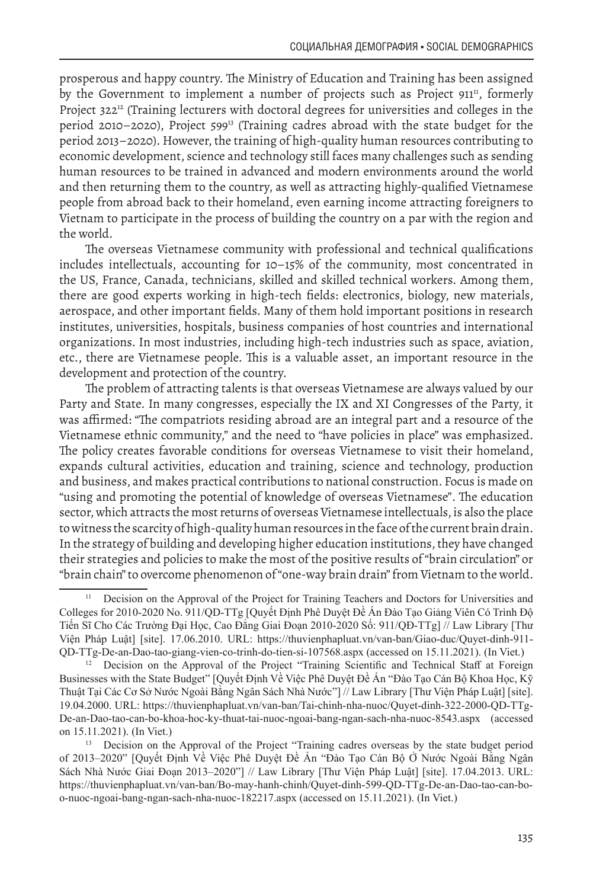prosperous and happy country. The Ministry of Education and Training has been assigned by the Government to implement a number of projects such as Project 911<sup>11</sup>, formerly Project 322<sup>12</sup> (Training lecturers with doctoral degrees for universities and colleges in the period 2010–2020), Project 59913 (Training cadres abroad with the state budget for the period 2013–2020). However, the training of high-quality human resources contributing to economic development, science and technology still faces many challenges such as sending human resources to be trained in advanced and modern environments around the world and then returning them to the country, as well as attracting highly-qualified Vietnamese people from abroad back to their homeland, even earning income attracting foreigners to Vietnam to participate in the process of building the country on a par with the region and the world.

The overseas Vietnamese community with professional and technical qualifications includes intellectuals, accounting for 10–15% of the community, most concentrated in the US, France, Canada, technicians, skilled and skilled technical workers. Among them, there are good experts working in high-tech fields: electronics, biology, new materials, aerospace, and other important fields. Many of them hold important positions in research institutes, universities, hospitals, business companies of host countries and international organizations. In most industries, including high-tech industries such as space, aviation, etc., there are Vietnamese people. This is a valuable asset, an important resource in the development and protection of the country.

The problem of attracting talents is that overseas Vietnamese are always valued by our Party and State. In many congresses, especially the IX and XI Congresses of the Party, it was affirmed: "The compatriots residing abroad are an integral part and a resource of the Vietnamese ethnic community," and the need to "have policies in place" was emphasized. The policy creates favorable conditions for overseas Vietnamese to visit their homeland, expands cultural activities, education and training, science and technology, production and business, and makes practical contributions to national construction. Focus is made on "using and promoting the potential of knowledge of overseas Vietnamese". The education sector, which attracts the most returns of overseas Vietnamese intellectuals, is also the place to witness the scarcity of high-quality human resources in the face of the current brain drain. In the strategy of building and developing higher education institutions, they have changed their strategies and policies to make the most of the positive results of "brain circulation" or "brain chain" to overcome phenomenon of "one-way brain drain" from Vietnam to the world.

<sup>11</sup> Decision on the Approval of the Project for Training Teachers and Doctors for Universities and Colleges for 2010-2020 No. 911/QD-TTg [Quyết Định Phê Duyệt Đề Án Đào Tạo Giảng Viên Có Trình Độ Tiến Sĩ Cho Các Trường Đại Học, Cao Đẳng Giai Đoạn 2010-2020 Số: 911/QĐ-TTg] // Law Library [Thư Viện Pháp Luật] [site]. 17.06.2010. URL: https://thuvienphapluat.vn/van-ban/Giao-duc/Quyet-dinh-911- QD-TTg-De-an-Dao-tao-giang-vien-co-trinh-do-tien-si-107568.aspx (accessed on 15.11.2021). (In Viet.)

<sup>12</sup> Decision on the Approval of the Project "Training Scientific and Technical Staff at Foreign Businesses with the State Budget" [Quyết Định Về Việc Phê Duyệt Đề Án "Đào Tạo Cán Bộ Khoa Học, Kỹ Thuật Tại Các Cơ Sở Nước Ngoài Bằng Ngân Sách Nhà Nước"] // Law Library [Thư Viện Pháp Luật] [site]. 19.04.2000. URL: https://thuvienphapluat.vn/van-ban/Tai-chinh-nha-nuoc/Quyet-dinh-322-2000-QD-TTg-De-an-Dao-tao-can-bo-khoa-hoc-ky-thuat-tai-nuoc-ngoai-bang-ngan-sach-nha-nuoc-8543.aspx (accessed on 15.11.2021). (In Viet.)

<sup>&</sup>lt;sup>13</sup> Decision on the Approval of the Project "Training cadres overseas by the state budget period of 2013–2020" [Quyết Định Về Việc Phê Duyệt Đề Án "Đào Tạo Cán Bộ Ở Nước Ngoài Bằng Ngân Sách Nhà Nước Giai Đoạn 2013–2020"] // Law Library [Thư Viện Pháp Luật] [site]. 17.04.2013. URL: https://thuvienphapluat.vn/van-ban/Bo-may-hanh-chinh/Quyet-dinh-599-QD-TTg-De-an-Dao-tao-can-boo-nuoc-ngoai-bang-ngan-sach-nha-nuoc-182217.aspx (accessed on 15.11.2021). (In Viet.)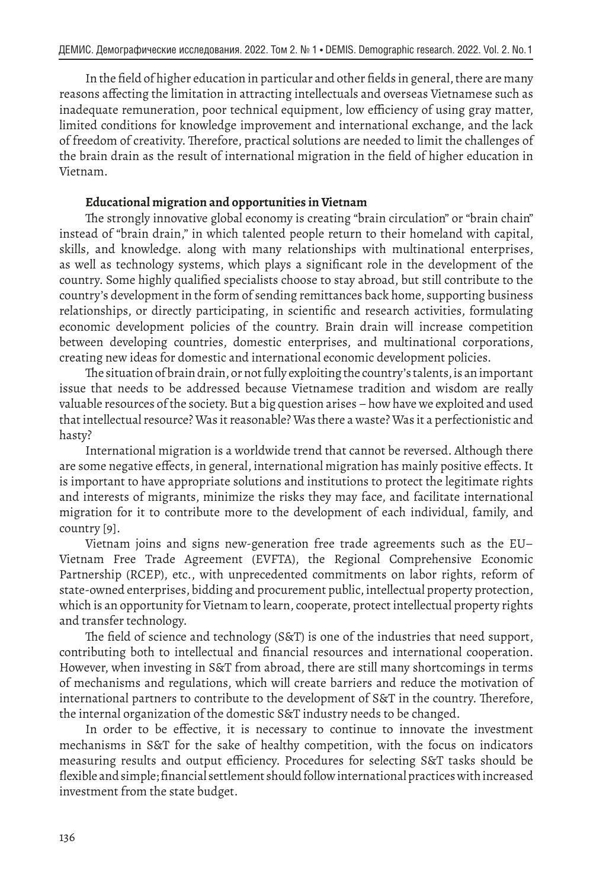In the field of higher education in particular and other fields in general, there are many reasons affecting the limitation in attracting intellectuals and overseas Vietnamese such as inadequate remuneration, poor technical equipment, low efficiency of using gray matter, limited conditions for knowledge improvement and international exchange, and the lack of freedom of creativity. Therefore, practical solutions are needed to limit the challenges of the brain drain as the result of international migration in the field of higher education in Vietnam.

# **Educational migration and opportunities in Vietnam**

The strongly innovative global economy is creating "brain circulation" or "brain chain" instead of "brain drain," in which talented people return to their homeland with capital, skills, and knowledge. along with many relationships with multinational enterprises, as well as technology systems, which plays a significant role in the development of the country. Some highly qualified specialists choose to stay abroad, but still contribute to the country's development in the form of sending remittances back home, supporting business relationships, or directly participating, in scientific and research activities, formulating economic development policies of the country. Brain drain will increase competition between developing countries, domestic enterprises, and multinational corporations, creating new ideas for domestic and international economic development policies.

The situation of brain drain, or not fully exploiting the country's talents, is an important issue that needs to be addressed because Vietnamese tradition and wisdom are really valuable resources of the society. But a big question arises – how have we exploited and used that intellectual resource? Was it reasonable? Was there a waste? Was it a perfectionistic and hasty?

International migration is a worldwide trend that cannot be reversed. Although there are some negative effects, in general, international migration has mainly positive effects. It is important to have appropriate solutions and institutions to protect the legitimate rights and interests of migrants, minimize the risks they may face, and facilitate international migration for it to contribute more to the development of each individual, family, and country [9].

Vietnam joins and signs new-generation free trade agreements such as the EU– Vietnam Free Trade Agreement (EVFTA), the Regional Comprehensive Economic Partnership (RCEP), etc., with unprecedented commitments on labor rights, reform of state-owned enterprises, bidding and procurement public, intellectual property protection, which is an opportunity for Vietnam to learn, cooperate, protect intellectual property rights and transfer technology.

The field of science and technology (S&T) is one of the industries that need support, contributing both to intellectual and financial resources and international cooperation. However, when investing in S&T from abroad, there are still many shortcomings in terms of mechanisms and regulations, which will create barriers and reduce the motivation of international partners to contribute to the development of S&T in the country. Therefore, the internal organization of the domestic S&T industry needs to be changed.

In order to be effective, it is necessary to continue to innovate the investment mechanisms in S&T for the sake of healthy competition, with the focus on indicators measuring results and output efficiency. Procedures for selecting S&T tasks should be flexible and simple; financial settlement should follow international practices with increased investment from the state budget.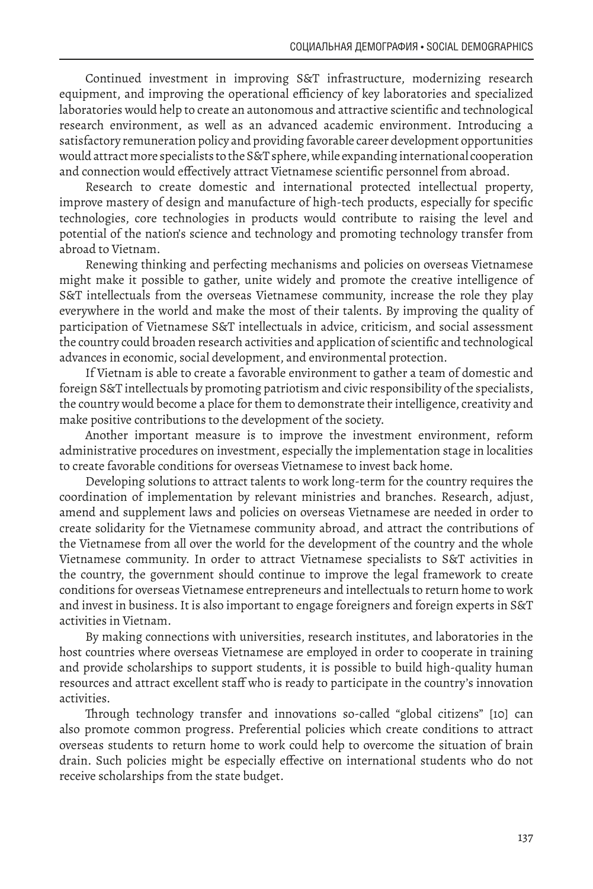Continued investment in improving S&T infrastructure, modernizing research equipment, and improving the operational efficiency of key laboratories and specialized laboratories would help to create an autonomous and attractive scientific and technological research environment, as well as an advanced academic environment. Introducing a satisfactory remuneration policy and providing favorable career development opportunities would attract more specialists to the S&T sphere, while expanding international cooperation and connection would effectively attract Vietnamese scientific personnel from abroad.

Research to create domestic and international protected intellectual property, improve mastery of design and manufacture of high-tech products, especially for specific technologies, core technologies in products would contribute to raising the level and potential of the nation's science and technology and promoting technology transfer from abroad to Vietnam.

Renewing thinking and perfecting mechanisms and policies on overseas Vietnamese might make it possible to gather, unite widely and promote the creative intelligence of S&T intellectuals from the overseas Vietnamese community, increase the role they play everywhere in the world and make the most of their talents. By improving the quality of participation of Vietnamese S&T intellectuals in advice, criticism, and social assessment the country could broaden research activities and application of scientific and technological advances in economic, social development, and environmental protection.

If Vietnam is able to create a favorable environment to gather a team of domestic and foreign S&T intellectuals by promoting patriotism and civic responsibility of the specialists, the country would become a place for them to demonstrate their intelligence, creativity and make positive contributions to the development of the society.

Another important measure is to improve the investment environment, reform administrative procedures on investment, especially the implementation stage in localities to create favorable conditions for overseas Vietnamese to invest back home.

Developing solutions to attract talents to work long-term for the country requires the coordination of implementation by relevant ministries and branches. Research, adjust, amend and supplement laws and policies on overseas Vietnamese are needed in order to create solidarity for the Vietnamese community abroad, and attract the contributions of the Vietnamese from all over the world for the development of the country and the whole Vietnamese community. In order to attract Vietnamese specialists to S&T activities in the country, the government should continue to improve the legal framework to create conditions for overseas Vietnamese entrepreneurs and intellectuals to return home to work and invest in business. It is also important to engage foreigners and foreign experts in S&T activities in Vietnam.

By making connections with universities, research institutes, and laboratories in the host countries where overseas Vietnamese are employed in order to cooperate in training and provide scholarships to support students, it is possible to build high-quality human resources and attract excellent staff who is ready to participate in the country's innovation activities.

Through technology transfer and innovations so-called "global citizens" [10] can also promote common progress. Preferential policies which create conditions to attract overseas students to return home to work could help to overcome the situation of brain drain. Such policies might be especially effective on international students who do not receive scholarships from the state budget.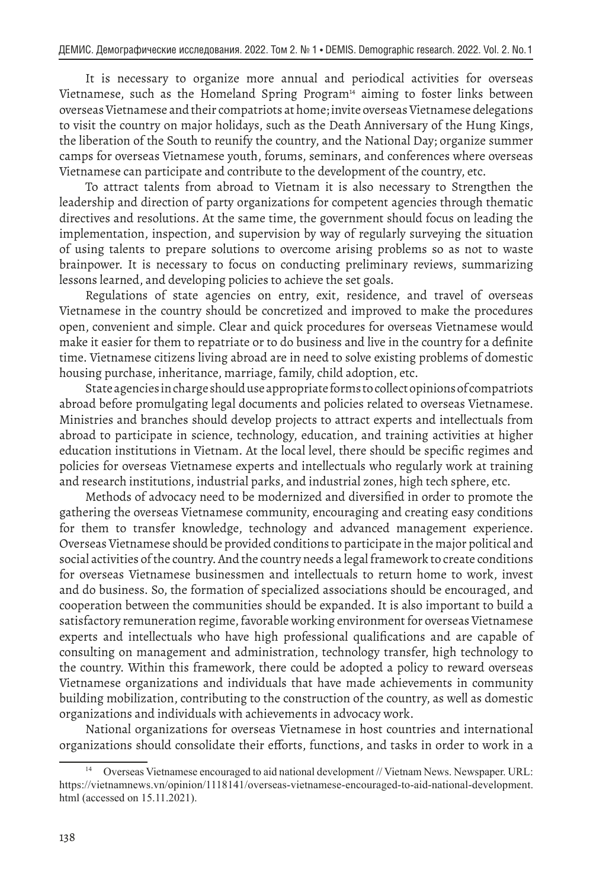It is necessary to organize more annual and periodical activities for overseas Vietnamese, such as the Homeland Spring Program<sup>14</sup> aiming to foster links between overseas Vietnamese and their compatriots at home; invite overseas Vietnamese delegations to visit the country on major holidays, such as the Death Anniversary of the Hung Kings, the liberation of the South to reunify the country, and the National Day; organize summer camps for overseas Vietnamese youth, forums, seminars, and conferences where overseas Vietnamese can participate and contribute to the development of the country, etc.

To attract talents from abroad to Vietnam it is also necessary to Strengthen the leadership and direction of party organizations for competent agencies through thematic directives and resolutions. At the same time, the government should focus on leading the implementation, inspection, and supervision by way of regularly surveying the situation of using talents to prepare solutions to overcome arising problems so as not to waste brainpower. It is necessary to focus on conducting preliminary reviews, summarizing lessons learned, and developing policies to achieve the set goals.

Regulations of state agencies on entry, exit, residence, and travel of overseas Vietnamese in the country should be concretized and improved to make the procedures open, convenient and simple. Clear and quick procedures for overseas Vietnamese would make it easier for them to repatriate or to do business and live in the country for a definite time. Vietnamese citizens living abroad are in need to solve existing problems of domestic housing purchase, inheritance, marriage, family, child adoption, etc.

State agencies in charge should use appropriate forms to collect opinions of compatriots abroad before promulgating legal documents and policies related to overseas Vietnamese. Ministries and branches should develop projects to attract experts and intellectuals from abroad to participate in science, technology, education, and training activities at higher education institutions in Vietnam. At the local level, there should be specific regimes and policies for overseas Vietnamese experts and intellectuals who regularly work at training and research institutions, industrial parks, and industrial zones, high tech sphere, etc.

Methods of advocacy need to be modernized and diversified in order to promote the gathering the overseas Vietnamese community, encouraging and creating easy conditions for them to transfer knowledge, technology and advanced management experience. Overseas Vietnamese should be provided conditions to participate in the major political and social activities of the country. And the country needs a legal framework to create conditions for overseas Vietnamese businessmen and intellectuals to return home to work, invest and do business. So, the formation of specialized associations should be encouraged, and cooperation between the communities should be expanded. It is also important to build a satisfactory remuneration regime, favorable working environment for overseas Vietnamese experts and intellectuals who have high professional qualifications and are capable of consulting on management and administration, technology transfer, high technology to the country. Within this framework, there could be adopted a policy to reward overseas Vietnamese organizations and individuals that have made achievements in community building mobilization, contributing to the construction of the country, as well as domestic organizations and individuals with achievements in advocacy work.

National organizations for overseas Vietnamese in host countries and international organizations should consolidate their efforts, functions, and tasks in order to work in a

<sup>14</sup> Overseas Vietnamese encouraged to aid national development // Vietnam News. Newspaper. URL: https://vietnamnews.vn/opinion/1118141/overseas-vietnamese-encouraged-to-aid-national-development. html (accessed on 15.11.2021).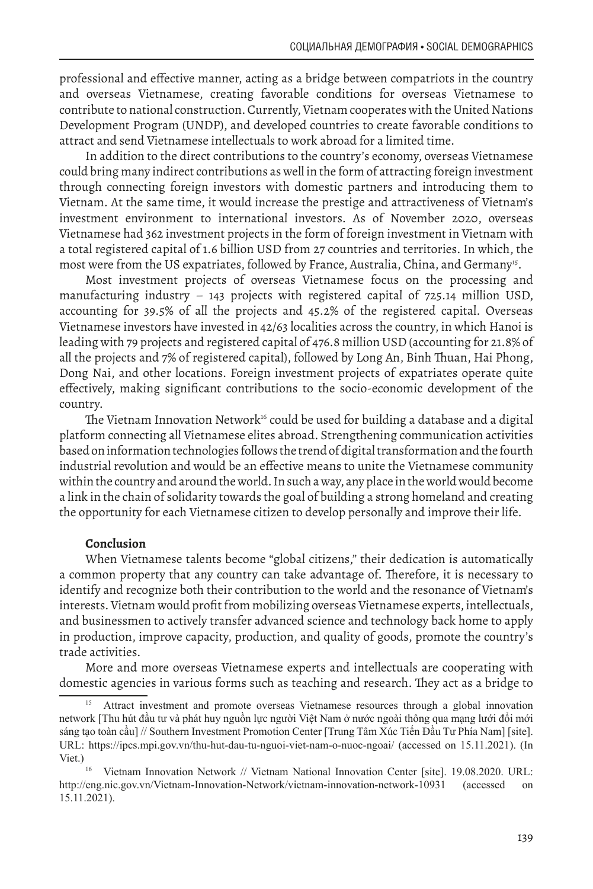professional and effective manner, acting as a bridge between compatriots in the country and overseas Vietnamese, creating favorable conditions for overseas Vietnamese to contribute to national construction. Currently, Vietnam cooperates with the United Nations Development Program (UNDP), and developed countries to create favorable conditions to attract and send Vietnamese intellectuals to work abroad for a limited time.

In addition to the direct contributions to the country's economy, overseas Vietnamese could bring many indirect contributions as well in the form of attracting foreign investment through connecting foreign investors with domestic partners and introducing them to Vietnam. At the same time, it would increase the prestige and attractiveness of Vietnam's investment environment to international investors. As of November 2020, overseas Vietnamese had 362 investment projects in the form of foreign investment in Vietnam with a total registered capital of 1.6 billion USD from 27 countries and territories. In which, the most were from the US expatriates, followed by France, Australia, China, and Germany<sup>15</sup>.

Most investment projects of overseas Vietnamese focus on the processing and manufacturing industry – 143 projects with registered capital of 725.14 million USD, accounting for 39.5% of all the projects and 45.2% of the registered capital. Overseas Vietnamese investors have invested in 42/63 localities across the country, in which Hanoi is leading with 79 projects and registered capital of 476.8 million USD (accounting for 21.8% of all the projects and 7% of registered capital), followed by Long An, Binh Thuan, Hai Phong, Dong Nai, and other locations. Foreign investment projects of expatriates operate quite effectively, making significant contributions to the socio-economic development of the country.

The Vietnam Innovation Network<sup>16</sup> could be used for building a database and a digital platform connecting all Vietnamese elites abroad. Strengthening communication activities based on information technologies follows the trend of digital transformation and the fourth industrial revolution and would be an effective means to unite the Vietnamese community within the country and around the world. In such a way, any place in the world would become a link in the chain of solidarity towards the goal of building a strong homeland and creating the opportunity for each Vietnamese citizen to develop personally and improve their life.

## **Conclusion**

When Vietnamese talents become "global citizens," their dedication is automatically a common property that any country can take advantage of. Therefore, it is necessary to identify and recognize both their contribution to the world and the resonance of Vietnam's interests. Vietnam would profit from mobilizing overseas Vietnamese experts, intellectuals, and businessmen to actively transfer advanced science and technology back home to apply in production, improve capacity, production, and quality of goods, promote the country's trade activities.

More and more overseas Vietnamese experts and intellectuals are cooperating with domestic agencies in various forms such as teaching and research. They act as a bridge to

<sup>15</sup> Attract investment and promote overseas Vietnamese resources through a global innovation network [Thu hút đầu tư và phát huy nguồn lực người Việt Nam ở nước ngoài thông qua mạng lưới đổi mới sáng tạo toàn cầu] // Southern Investment Promotion Center [Trung Tâm Xúc Tiến Đầu Tư Phía Nam] [site]. URL: https://ipcs.mpi.gov.vn/thu-hut-dau-tu-nguoi-viet-nam-o-nuoc-ngoai/ (accessed on 15.11.2021). (In Viet.)

Vietnam Innovation Network // Vietnam National Innovation Center [site]. 19.08.2020. URL: http://eng.nic.gov.vn/Vietnam-Innovation-Network/vietnam-innovation-network-10931 (accessed on 15.11.2021).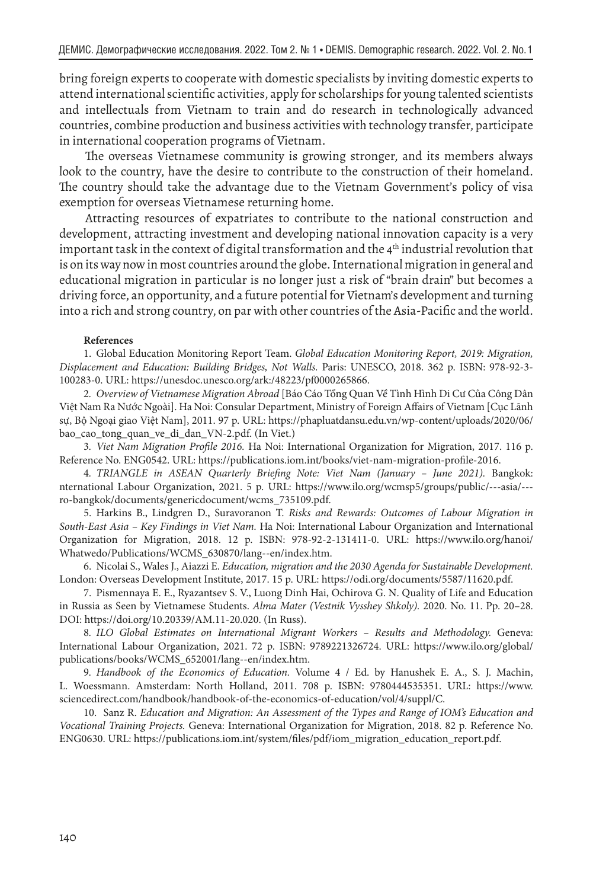bring foreign experts to cooperate with domestic specialists by inviting domestic experts to attend international scientific activities, apply for scholarships for young talented scientists and intellectuals from Vietnam to train and do research in technologically advanced countries, combine production and business activities with technology transfer, participate in international cooperation programs of Vietnam.

The overseas Vietnamese community is growing stronger, and its members always look to the country, have the desire to contribute to the construction of their homeland. The country should take the advantage due to the Vietnam Government's policy of visa exemption for overseas Vietnamese returning home.

Attracting resources of expatriates to contribute to the national construction and development, attracting investment and developing national innovation capacity is a very important task in the context of digital transformation and the  $4<sup>th</sup>$  industrial revolution that is on its way now in most countries around the globe. International migration in general and educational migration in particular is no longer just a risk of "brain drain" but becomes a driving force, an opportunity, and a future potential for Vietnam's development and turning into a rich and strong country, on par with other countries of the Asia-Pacific and the world.

## **References**

1. Global Education Monitoring Report Team. *Global Education Monitoring Report, 2019: Migration, Displacement and Education: Building Bridges, Not Walls.* Paris: UNESCO, 2018. 362 p. ISBN: 978-92-3- 100283-0. URL: https://unesdoc.unesco.org/ark:/48223/pf0000265866.

2*. Overview of Vietnamese Migration Abroad* [Báo Cáo Tổng Quan Về Tình Hình Di Cư Của Công Dân Việt Nam Ra Nước Ngoài]. Ha Noi: Consular Department, Ministry of Foreign Affairs of Vietnam [Cục Lãnh sự, Bộ Ngoại giao Việt Nam], 2011. 97 p. URL: https://phapluatdansu.edu.vn/wp-content/uploads/2020/06/ bao\_cao\_tong\_quan\_ve\_di\_dan\_VN-2.pdf. (In Viet.)

3*. Viet Nam Migration Profile 2016.* Ha Noi: International Organization for Migration, 2017. 116 p. Reference No. ENG0542. URL: https://publications.iom.int/books/viet-nam-migration-profile-2016.

4*. TRIANGLE in ASEAN Quarterly Briefing Note: Viet Nam (January – June 2021).* Bangkok: nternational Labour Organization, 2021. 5 p. URL: https://www.ilo.org/wcmsp5/groups/public/---asia/-- ro-bangkok/documents/genericdocument/wcms\_735109.pdf.

5. Harkins B., Lindgren D., Suravoranon T. *Risks and Rewards: Outcomes of Labour Migration in South-East Asia – Key Findings in Viet Nam.* Ha Noi: International Labour Organization and International Organization for Migration, 2018. 12 p. ISBN: 978-92-2-131411-0. URL: https://www.ilo.org/hanoi/ Whatwedo/Publications/WCMS\_630870/lang--en/index.htm.

6. Nicolai S., Wales J., Aiazzi E. *Education, migration and the 2030 Agenda for Sustainable Development.* London: Overseas Development Institute, 2017. 15 p. URL: https://odi.org/documents/5587/11620.pdf.

7. Pismennaya E. E., Ryazantsev S. V., Luong Dinh Hai, Ochirova G. N. Quality of Life and Education in Russia as Seen by Vietnamese Students. *Alma Mater (Vestnik Vysshey Shkoly).* 2020. No. 11. Pp. 20–28. DOI: https://doi.org/10.20339/AM.11-20.020. (In Russ).

8*. ILO Global Estimates on International Migrant Workers – Results and Methodology.* Geneva: International Labour Organization, 2021. 72 p. ISBN: 9789221326724. URL: https://www.ilo.org/global/ publications/books/WCMS\_652001/lang--en/index.htm.

9*. Handbook of the Economics of Education.* Volume 4 / Ed. by Hanushek E. A., S. J. Machin, L. Woessmann. Amsterdam: North Holland, 2011. 708 p. ISBN: 9780444535351. URL: https://www. sciencedirect.com/handbook/handbook-of-the-economics-of-education/vol/4/suppl/C.

10. Sanz R. *Education and Migration: An Assessment of the Types and Range of IOM's Education and Vocational Training Projects.* Geneva: International Organization for Migration, 2018. 82 p. Reference No. ENG0630. URL: https://publications.iom.int/system/files/pdf/iom\_migration\_education\_report.pdf.